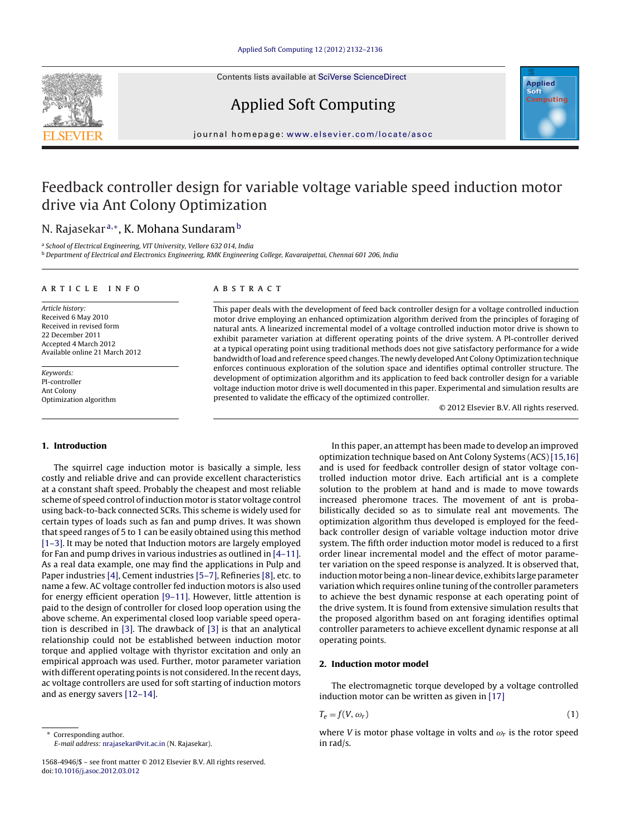Contents lists available at SciVerse [ScienceDirect](http://www.sciencedirect.com/science/journal/15684946)







iournal homepage: <www.elsevier.com/locate/asoc>

# Feedback controller design for variable voltage variable speed induction motor drive via Ant Colony Optimization

# N. Rajasekar<sup>a,∗</sup>, K. Mohana Sundaram<sup>b</sup>

<sup>a</sup> School of Electrical Engineering, VIT University, Vellore 632 014, India

<sup>b</sup> Department of Electrical and Electronics Engineering, RMK Engineering College, Kavaraipettai, Chennai 601 206, India

## a r t i c l e i n f o

Article history: Received 6 May 2010 Received in revised form 22 December 2011 Accepted 4 March 2012 Available online 21 March 2012

Keywords: PI-controller Ant Colony Optimization algorithm

## A B S T R A C T

This paper deals with the development of feed back controller design for a voltage controlled induction motor drive employing an enhanced optimization algorithm derived from the principles of foraging of natural ants. A linearized incremental model of a voltage controlled induction motor drive is shown to exhibit parameter variation at different operating points of the drive system. A PI-controller derived at a typical operating point using traditional methods does not give satisfactory performance for a wide bandwidth ofload and reference speed changes. The newly developedAnt Colony Optimization technique enforces continuous exploration of the solution space and identifies optimal controller structure. The development of optimization algorithm and its application to feed back controller design for a variable voltage induction motor drive is well documented in this paper. Experimental and simulation results are presented to validate the efficacy of the optimized controller.

© 2012 Elsevier B.V. All rights reserved.

# **1. Introduction**

The squirrel cage induction motor is basically a simple, less costly and reliable drive and can provide excellent characteristics at a constant shaft speed. Probably the cheapest and most reliable scheme of speed control of induction motor is stator voltage control using back-to-back connected SCRs. This scheme is widely used for certain types of loads such as fan and pump drives. It was shown that speed ranges of 5 to 1 can be easily obtained using this method [\[1–3\].](#page--1-0) It may be noted that Induction motors are largely employed for Fan and pump drives in various industries as outlined in [\[4–11\].](#page--1-0) As a real data example, one may find the applications in Pulp and Paper industries [\[4\],](#page--1-0) Cement industries [\[5–7\],](#page--1-0) Refineries [\[8\],](#page--1-0) etc. to name a few. AC voltage controller fed induction motors is also used for energy efficient operation [\[9–11\].](#page--1-0) However, little attention is paid to the design of controller for closed loop operation using the above scheme. An experimental closed loop variable speed operation is described in [\[3\].](#page--1-0) The drawback of [\[3\]](#page--1-0) is that an analytical relationship could not be established between induction motor torque and applied voltage with thyristor excitation and only an empirical approach was used. Further, motor parameter variation with different operating points is not considered. In the recent days, ac voltage controllers are used for soft starting of induction motors and as energy savers [\[12–14\].](#page--1-0)

In this paper, an attempt has been made to develop an improved optimization technique based on Ant Colony Systems (ACS) [\[15,16\]](#page--1-0) and is used for feedback controller design of stator voltage controlled induction motor drive. Each artificial ant is a complete solution to the problem at hand and is made to move towards increased pheromone traces. The movement of ant is probabilistically decided so as to simulate real ant movements. The optimization algorithm thus developed is employed for the feedback controller design of variable voltage induction motor drive system. The fifth order induction motor model is reduced to a first order linear incremental model and the effect of motor parameter variation on the speed response is analyzed. It is observed that, induction motor being a non-linear device, exhibits large parameter variation which requires online tuning of the controller parameters to achieve the best dynamic response at each operating point of the drive system. It is found from extensive simulation results that the proposed algorithm based on ant foraging identifies optimal controller parameters to achieve excellent dynamic response at all operating points.

# **2. Induction motor model**

The electromagnetic torque developed by a voltage controlled induction motor can be written as given in [\[17\]](#page--1-0)

$$
T_e = f(V, \omega_r) \tag{1}
$$

where V is motor phase voltage in volts and  $\omega_r$  is the rotor speed in rad/s.

<sup>∗</sup> Corresponding author. E-mail address: [nrajasekar@vit.ac.in](mailto:nrajasekar@vit.ac.in) (N. Rajasekar).

<sup>1568-4946/\$</sup> – see front matter © 2012 Elsevier B.V. All rights reserved. doi:[10.1016/j.asoc.2012.03.012](dx.doi.org/10.1016/j.asoc.2012.03.012)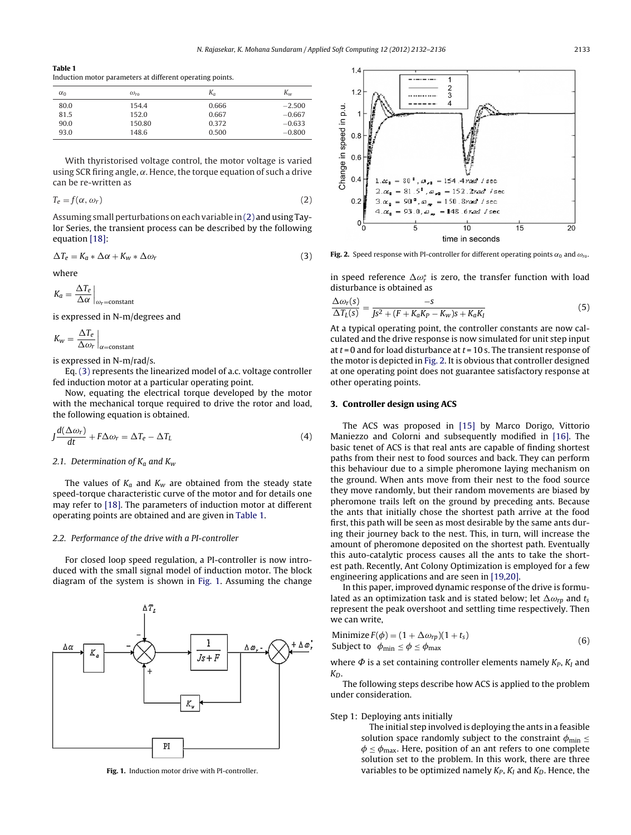#### **Table 1**

Induction motor parameters at different operating points.

| $\alpha_0$ | $\omega_{ro}$ | $K_a$ | $K_{w}$  |
|------------|---------------|-------|----------|
| 80.0       | 154.4         | 0.666 | $-2.500$ |
| 81.5       | 152.0         | 0.667 | $-0.667$ |
| 90.0       | 150.80        | 0.372 | $-0.633$ |
| 93.0       | 148.6         | 0.500 | $-0.800$ |
|            |               |       |          |

With thyristorised voltage control, the motor voltage is varied using SCR firing angle,  $\alpha$ . Hence, the torque equation of such a drive can be re-written as

$$
T_e = f(\alpha, \omega_r) \tag{2}
$$

Assuming small perturbations on each variable in (2) and using Taylor Series, the transient process can be described by the following equation [\[18\]:](#page--1-0)

$$
\Delta T_e = K_a * \Delta \alpha + K_w * \Delta \omega_r \tag{3}
$$

where

$$
K_a = \frac{\Delta T_e}{\Delta \alpha} \bigg|_{\omega_r = \text{constant}}
$$

is expressed in N-m/degrees and

$$
K_w = \frac{\Delta T_e}{\Delta \omega_r}\Big|_{\alpha = \text{constant}}
$$

is expressed in N-m/rad/s.

Eq. (3) represents the linearized model of a.c. voltage controller fed induction motor at a particular operating point.

Now, equating the electrical torque developed by the motor with the mechanical torque required to drive the rotor and load, the following equation is obtained.

$$
J\frac{d(\Delta\omega_r)}{dt} + F\Delta\omega_r = \Delta T_e - \Delta T_L \tag{4}
$$

# 2.1. Determination of  $K_a$  and  $K_w$

The values of  $K_a$  and  $K_w$  are obtained from the steady state speed-torque characteristic curve of the motor and for details one may refer to [\[18\].](#page--1-0) The parameters of induction motor at different operating points are obtained and are given in Table 1.

# 2.2. Performance of the drive with a PI-controller

For closed loop speed regulation, a PI-controller is now introduced with the small signal model of induction motor. The block diagram of the system is shown in Fig. 1. Assuming the change



**Fig. 1.** Induction motor drive with PI-controller.



**Fig. 2.** Speed response with PI-controller for different operating points  $\alpha_0$  and  $\omega_{\text{ro}}$ .

in speed reference  $\Delta \omega_r^*$  is zero, the transfer function with load disturbance is obtained as

$$
\frac{\Delta \omega_r(s)}{\Delta T_L(s)} = \frac{-s}{Js^2 + (F + K_a K_P - K_w)s + K_a K_I}
$$
(5)

At a typical operating point, the controller constants are now calculated and the drive response is now simulated for unit step input at  $t = 0$  and for load disturbance at  $t = 10$  s. The transient response of the motor is depicted in Fig. 2. It is obvious that controller designed at one operating point does not guarantee satisfactory response at other operating points.

# **3. Controller design using ACS**

The ACS was proposed in [\[15\]](#page--1-0) by Marco Dorigo, Vittorio Maniezzo and Colorni and subsequently modified in [\[16\].](#page--1-0) The basic tenet of ACS is that real ants are capable of finding shortest paths from their nest to food sources and back. They can perform this behaviour due to a simple pheromone laying mechanism on the ground. When ants move from their nest to the food source they move randomly, but their random movements are biased by pheromone trails left on the ground by preceding ants. Because the ants that initially chose the shortest path arrive at the food first, this path will be seen as most desirable by the same ants during their journey back to the nest. This, in turn, will increase the amount of pheromone deposited on the shortest path. Eventually this auto-catalytic process causes all the ants to take the shortest path. Recently, Ant Colony Optimization is employed for a few engineering applications and are seen in [\[19,20\].](#page--1-0)

In this paper, improved dynamic response of the drive is formulated as an optimization task and is stated below; let  $\Delta\omega_{rp}$  and  $t_s$ represent the peak overshoot and settling time respectively. Then we can write,

Minimize 
$$
F(\phi) = (1 + \Delta \omega_{rp})(1 + t_s)
$$
  
Subject to  $\phi_{\min} \le \phi \le \phi_{\max}$  (6)

where  $\Phi$  is a set containing controller elements namely  $K_P$ ,  $K_I$  and  $K_D$ .

The following steps describe how ACS is applied to the problem under consideration.

# Step 1: Deploying ants initially

The initial step involved is deploying the ants in a feasible solution space randomly subject to the constraint  $\phi_{\min} \leq$  $\phi \leq \phi_{\text{max}}$ . Here, position of an ant refers to one complete solution set to the problem. In this work, there are three variables to be optimized namely  $K_P$ ,  $K_I$  and  $K_D$ . Hence, the